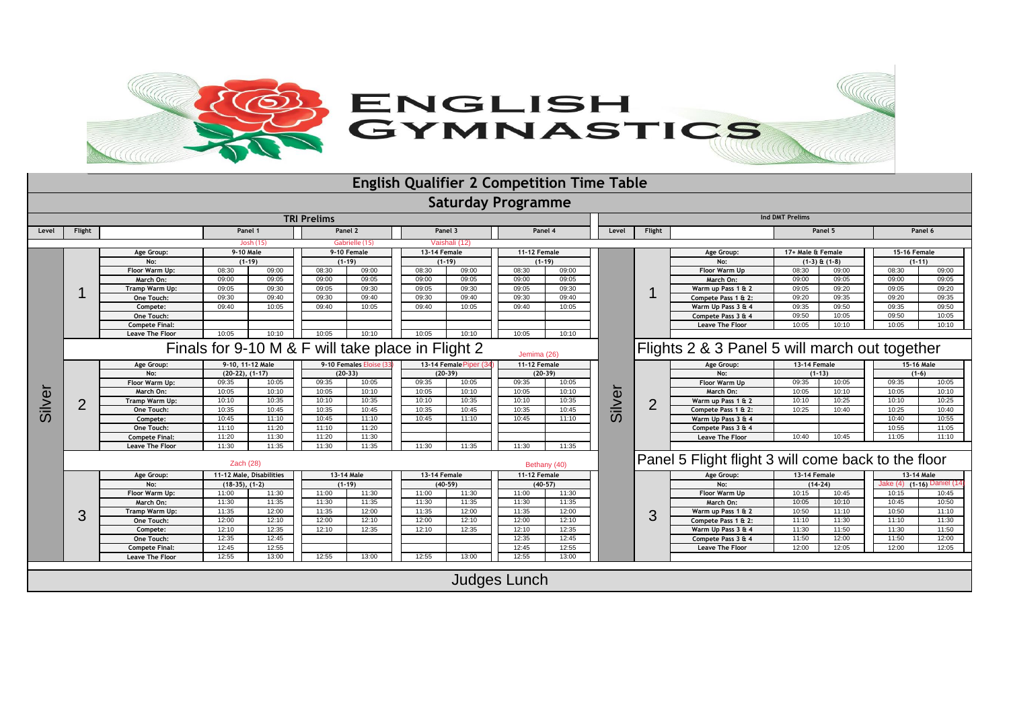

|                    |                             |                        |                   |                                                                  |                     |            |                    |              | <b>English Qualifier 2 Competition Time Table</b> |                     |                        |                |                                                     |                     |       |              |                           |  |  |
|--------------------|-----------------------------|------------------------|-------------------|------------------------------------------------------------------|---------------------|------------|--------------------|--------------|---------------------------------------------------|---------------------|------------------------|----------------|-----------------------------------------------------|---------------------|-------|--------------|---------------------------|--|--|
|                    |                             |                        |                   |                                                                  |                     |            |                    |              | <b>Saturday Programme</b>                         |                     |                        |                |                                                     |                     |       |              |                           |  |  |
| <b>TRI Prelims</b> |                             |                        |                   |                                                                  |                     |            |                    |              |                                                   |                     | <b>Ind DMT Prelims</b> |                |                                                     |                     |       |              |                           |  |  |
| Level              | Flight                      |                        | Panel 1           |                                                                  |                     | Panel 2    |                    | Panel 3      |                                                   | Panel 4             |                        | Flight         | Panel 5                                             |                     |       | Panel 6      |                           |  |  |
|                    |                             |                        |                   | Josh (15)                                                        | Gabrielle (15)      |            | Vaishali (12)      |              |                                                   |                     |                        |                |                                                     |                     |       |              |                           |  |  |
|                    |                             | Age Group:             | 9-10 Male         |                                                                  | 9-10 Female         |            | 13-14 Female       |              |                                                   | 11-12 Female        |                        |                | Age Group:                                          | 17+ Male & Female   |       | 15-16 Female |                           |  |  |
|                    |                             | No:                    |                   | $(1-19)$                                                         | $(1-19)$            |            |                    | $(1 - 19)$   |                                                   | $(1 - 19)$          |                        |                | No:                                                 | $(1-3)$ & $(1-8)$   |       | $(1-11)$     |                           |  |  |
|                    |                             | Floor Warm Up:         | 08:30             | 09:00                                                            | 08:30               | 09:00      | 08:30              | 09:00        | 08:30                                             | 09:00               |                        |                | Floor Warm Up                                       | 08:30               | 09:00 | 08:30        | 09:00                     |  |  |
|                    |                             | March On:              | 09:00             | 09:05                                                            | 09:00               | 09:05      | 09:00              | 09:05        | 09:00                                             | 09:05               |                        |                | March On:                                           | 09:00               | 09:05 | 09:00        | 09:05                     |  |  |
|                    |                             | Tramp Warm Up:         | 09:05             | 09:30                                                            | 09:05               | 09:30      | 09:05              | 09:30        | 09:05                                             | 09:30               |                        |                | Warm up Pass 1 & 2                                  | 09:05               | 09:20 | 09:05        | 09:20                     |  |  |
|                    |                             | One Touch:             | 09:30             | 09:40                                                            | 09:30               | 09:40      | 09:30              | 09:40        | 09:30                                             | 09:40               |                        |                | Compete Pass 1 & 2:                                 | 09:20               | 09:35 | 09:20        | 09:35                     |  |  |
|                    |                             | Compete:               | 09:40             | 10:05                                                            | 09:40               | 10:05      | 09:40              | 10:05        | 09:40                                             | 10:05               |                        |                | Warm Up Pass 3 & 4                                  | 09:35               | 09:50 | 09:35        | 09:50                     |  |  |
|                    |                             | One Touch:             |                   |                                                                  |                     |            |                    |              |                                                   |                     |                        |                | Compete Pass 3 & 4                                  | 09:50               | 10:05 | 09:50        | 10:05                     |  |  |
|                    |                             | <b>Compete Final:</b>  |                   |                                                                  |                     |            |                    |              |                                                   |                     |                        |                | <b>Leave The Floor</b>                              | 10:05               | 10:10 | 10:05        | 10:10                     |  |  |
|                    |                             | <b>Leave The Floor</b> | 10:05             | 10:10                                                            | 10:05               | 10:10      | 10:05              | 10:10        | 10:05                                             | 10:10               |                        |                |                                                     |                     |       |              |                           |  |  |
|                    |                             |                        |                   | Finals for 9-10 M & F will take place in Flight 2<br>Jemima (26) |                     |            |                    |              | Flights 2 & 3 Panel 5 will march out together     |                     |                        |                |                                                     |                     |       |              |                           |  |  |
|                    | 2                           | Age Group:             | 9-10, 11-12 Male  |                                                                  | 9-10 Females Eloise |            | 13-14 Female Piper |              |                                                   | <b>11-12 Female</b> |                        |                | Age Group:                                          | <b>13-14 Female</b> |       | 15-16 Male   |                           |  |  |
|                    |                             | No:                    | $(20-22), (1-17)$ |                                                                  | $(20-33)$           |            |                    | $(20-39)$    |                                                   | $(20-39)$           |                        |                | No:                                                 | $(1-13)$            |       | $(1-6)$      |                           |  |  |
|                    |                             | Floor Warm Up:         | 09:35             | 10:05                                                            | 09:35               | 10:05      | 09:35              | 10:05        | 09:35                                             | 10:05               |                        |                | Floor Warm Up                                       | 09:35               | 10:05 | 09:35        | 10:05                     |  |  |
|                    |                             | March On:              | 10:05             | 10:10                                                            | 10:05               | 10:10      | 10:05              | 10:10        | 10:05                                             | 10:10               | Silver                 |                | March On:                                           | 10:05               | 10:10 | 10:05        | 10:10                     |  |  |
|                    |                             | Tramp Warm Up:         | 10:10             | 10:35                                                            | 10:10               | 10:35      | 10:10              | 10:35        | 10:10                                             | 10:35               |                        | $\overline{2}$ | Warm up Pass 1 & 2                                  | 10:10               | 10:25 | 10:10        | 10:25                     |  |  |
| Silver             |                             | One Touch:             | 10:35             | 10:45                                                            | 10:35               | 10:45      | 10:35              | 10:45        | 10:35                                             | 10:45               |                        |                | Compete Pass 1 & 2:                                 | 10:25               | 10:40 | 10:25        | 10:40                     |  |  |
|                    |                             | Compete:               | 10:45             | 11:10                                                            | 10:45               | 11:10      | 10:45              | 11:10        | 10:45                                             | 11:10               |                        |                | Warm Up Pass 3 & 4                                  |                     |       | 10:40        | 10:55                     |  |  |
|                    |                             | One Touch:             | 11:10             | 11:20                                                            | 11:10               | 11:20      |                    |              |                                                   |                     |                        |                | Compete Pass 3 & 4                                  |                     |       | 10:55        | 11:05                     |  |  |
|                    |                             | <b>Compete Final:</b>  | 11:20             | 11:30                                                            | 11:20               | 11:30      |                    |              |                                                   |                     |                        |                | <b>Leave The Floor</b>                              | 10:40               | 10:45 | 11:05        | 11:10                     |  |  |
|                    |                             | <b>Leave The Floor</b> | 11:30             | 11:35                                                            | 11:30               | 11:35      | 11:30              | 11:35        | 11:30                                             | 11:35               |                        |                |                                                     |                     |       |              |                           |  |  |
|                    | Zach $(28)$<br>Bethany (40) |                        |                   |                                                                  |                     |            |                    |              |                                                   |                     |                        |                | Panel 5 Flight flight 3 will come back to the floor |                     |       |              |                           |  |  |
|                    |                             | Age Group:             |                   | 11-12 Male, Disabilities                                         |                     | 13-14 Male |                    | 13-14 Female |                                                   | 11-12 Female        |                        |                | Age Group:                                          | 13-14 Female        |       | 13-14 Male   |                           |  |  |
|                    |                             | No:                    | $(18-35), (1-2)$  |                                                                  |                     | $(1-19)$   |                    | $(40-59)$    | $(40-57)$                                         |                     |                        |                | No:                                                 | $(14-24)$           |       |              | Jake (4) (1-16) Daniel (1 |  |  |
|                    | 3                           | Floor Warm Up:         | 11:00             | 11:30                                                            | 11:00               | 11:30      | 11:00              | 11:30        | 11:00                                             | 11:30               |                        |                | Floor Warm Up                                       | 10:15               | 10:45 | 10:15        | 10:45                     |  |  |
|                    |                             | March On:              | 11:30             | 11:35                                                            | 11:30               | 11:35      | 11:30              | 11:35        | 11:30                                             | 11:35               |                        |                | March On:                                           | 10:05               | 10:10 | 10:45        | 10:50                     |  |  |
|                    |                             | Tramp Warm Up:         | 11:35             | 12:00                                                            | 11:35               | 12:00      | 11:35              | 12:00        | 11:35                                             | 12:00               |                        | 3              | Warm up Pass 1 & 2                                  | 10:50               | 11:10 | 10:50        | 11:10                     |  |  |
|                    |                             | One Touch:             | 12:00             | 12:10                                                            | 12:00               | 12:10      | 12:00              | 12:10        | 12:00                                             | 12:10               |                        |                | Compete Pass 1 & 2:                                 | 11:10               | 11:30 | 11:10        | 11:30                     |  |  |
|                    |                             | Compete:               | 12:10             | 12:35                                                            | 12:10               | 12:35      | 12:10              | 12:35        | 12:10                                             | 12:35               |                        |                | Warm Up Pass 3 & 4                                  | 11:30               | 11:50 | 11:30        | 11:50                     |  |  |
|                    |                             | One Touch:             | 12:35             | 12:45                                                            |                     |            |                    |              | 12:35                                             | 12:45               |                        |                | Compete Pass 3 & 4                                  | 11:50               | 12:00 | 11:50        | 12:00                     |  |  |
|                    |                             | <b>Compete Final:</b>  | 12:45             | 12:55                                                            |                     |            |                    |              | 12:45                                             | 12:55               |                        |                | <b>Leave The Floor</b>                              | 12:00               | 12:05 | 12:00        | 12:05                     |  |  |
|                    |                             | <b>Leave The Floor</b> | 12:55             | 13:00                                                            | 12:55               | 13:00      | 12:55              | 13:00        | 12:55                                             | 13:00               |                        |                |                                                     |                     |       |              |                           |  |  |
|                    |                             |                        |                   |                                                                  |                     |            |                    |              |                                                   |                     |                        |                |                                                     |                     |       |              |                           |  |  |
|                    |                             |                        |                   |                                                                  |                     |            |                    |              | Judges Lunch                                      |                     |                        |                |                                                     |                     |       |              |                           |  |  |